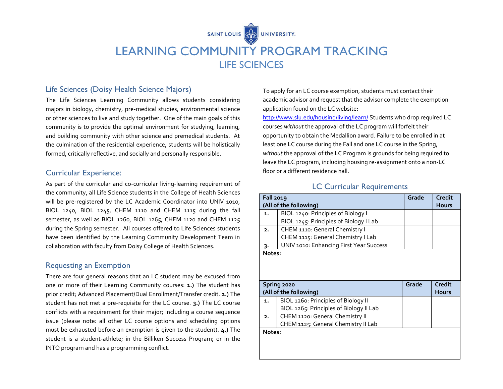

# LEARNING COMMUNITY PROGRAM TRACKING LIFE SCIENCES

### Life Sciences (Doisy Health Science Majors)

The Life Sciences Learning Community allows students considering majors in biology, chemistry, pre-medical studies, environmental science or other sciences to live and study together. One of the main goals of this community is to provide the optimal environment for studying, learning, and building community with other science and premedical students. At the culmination of the residential experience, students will be holistically formed, critically reflective, and socially and personally responsible.

#### Curricular Experience:

As part of the curricular and co-curricular living-learning requirement of the community, all Life Science students in the College of Health Sciences will be pre-registered by the LC Academic Coordinator into UNIV 1010, BIOL 1240, BIOL 1245, CHEM 1110 and CHEM 1115 during the fall semester, as well as BIOL 1260, BIOL 1265, CHEM 1120 and CHEM 1125 during the Spring semester. All courses offered to Life Sciences students have been identified by the Learning Community Development Team in collaboration with faculty from Doisy College of Health Sciences.

#### Requesting an Exemption

There are four general reasons that an LC student may be excused from one or more of their Learning Community courses: **1.)** The student has prior credit; Advanced Placement/Dual Enrollment/Transfer credit. **2.)** The student has not met a pre-requisite for the LC course. **3.)** The LC course conflicts with a requirement for their major; including a course sequence issue (please note: all other LC course options and scheduling options must be exhausted before an exemption is given to the student). **4.)** The student is a student-athlete; in the Billiken Success Program; or in the INTO program and has a programming conflict.

To apply for an LC course exemption, students must contact their academic advisor and request that the advisor complete the exemption application found on the LC website:

<http://www.slu.edu/housing/living/learn/> Students who drop required LC courses *without* the approval of the LC program will forfeit their opportunity to obtain the Medallion award. Failure to be enrolled in at least one LC course during the Fall and one LC course in the Spring, *without* the approval of the LC Program is grounds for being required to leave the LC program, including housing re-assignment onto a non-LC floor or a different residence hall.

#### LC Curricular Requirements

| <b>Fall 2019</b>       |                                         | Grade | Credit       |
|------------------------|-----------------------------------------|-------|--------------|
| (All of the following) |                                         |       | <b>Hours</b> |
| 1.                     | BIOL 1240: Principles of Biology I      |       |              |
|                        | BIOL 1245: Principles of Biology I Lab  |       |              |
| 2.                     | CHEM 1110: General Chemistry I          |       |              |
|                        | CHEM 1115: General Chemistry I Lab      |       |              |
| 3.                     | UNIV 1010: Enhancing First Year Success |       |              |
| Notes:                 |                                         |       |              |
|                        |                                         |       |              |
|                        |                                         |       |              |
|                        |                                         |       |              |
|                        |                                         |       |              |
|                        | Spring 2020                             | Grade | Credit       |
|                        | (All of the following)                  |       | <b>Hours</b> |
| 1.                     | BIOL 1260: Principles of Biology II     |       |              |
|                        | BIOL 1265: Principles of Biology II Lab |       |              |
| 2.                     | CHEM 1120: General Chemistry II         |       |              |
|                        | CHEM 1125: General Chemistry II Lab     |       |              |
| Notes:                 |                                         |       |              |
|                        |                                         |       |              |
|                        |                                         |       |              |